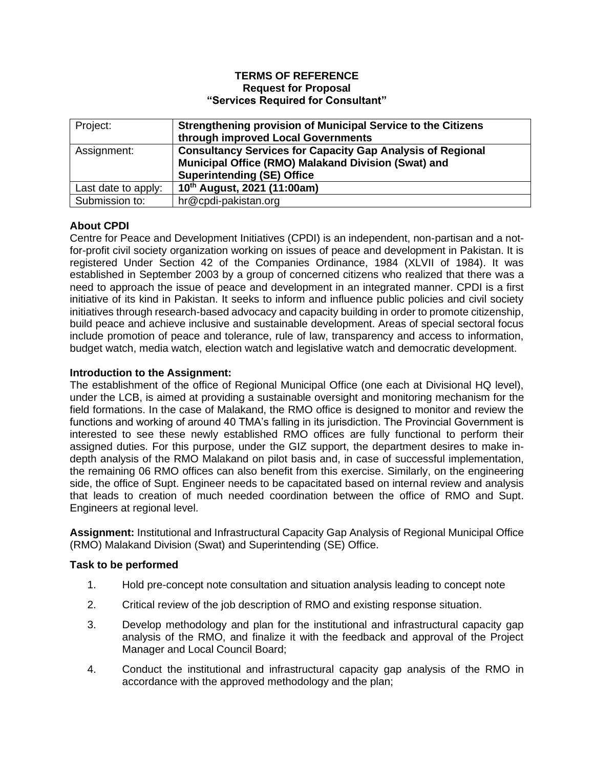#### **TERMS OF REFERENCE Request for Proposal "Services Required for Consultant"**

| Project:            | Strengthening provision of Municipal Service to the Citizens<br>through improved Local Governments                                                            |
|---------------------|---------------------------------------------------------------------------------------------------------------------------------------------------------------|
| Assignment:         | <b>Consultancy Services for Capacity Gap Analysis of Regional</b><br>Municipal Office (RMO) Malakand Division (Swat) and<br><b>Superintending (SE) Office</b> |
| Last date to apply: | 10th August, 2021 (11:00am)                                                                                                                                   |
| Submission to:      | hr@cpdi-pakistan.org                                                                                                                                          |

# **About CPDI**

Centre for Peace and Development Initiatives (CPDI) is an independent, non-partisan and a notfor-profit civil society organization working on issues of peace and development in Pakistan. It is registered Under Section 42 of the Companies Ordinance, 1984 (XLVII of 1984). It was established in September 2003 by a group of concerned citizens who realized that there was a need to approach the issue of peace and development in an integrated manner. CPDI is a first initiative of its kind in Pakistan. It seeks to inform and influence public policies and civil society initiatives through research-based advocacy and capacity building in order to promote citizenship, build peace and achieve inclusive and sustainable development. Areas of special sectoral focus include promotion of peace and tolerance, rule of law, transparency and access to information, budget watch, media watch, election watch and legislative watch and democratic development.

## **Introduction to the Assignment:**

The establishment of the office of Regional Municipal Office (one each at Divisional HQ level), under the LCB, is aimed at providing a sustainable oversight and monitoring mechanism for the field formations. In the case of Malakand, the RMO office is designed to monitor and review the functions and working of around 40 TMA's falling in its jurisdiction. The Provincial Government is interested to see these newly established RMO offices are fully functional to perform their assigned duties. For this purpose, under the GIZ support, the department desires to make indepth analysis of the RMO Malakand on pilot basis and, in case of successful implementation, the remaining 06 RMO offices can also benefit from this exercise. Similarly, on the engineering side, the office of Supt. Engineer needs to be capacitated based on internal review and analysis that leads to creation of much needed coordination between the office of RMO and Supt. Engineers at regional level.

**Assignment:** Institutional and Infrastructural Capacity Gap Analysis of Regional Municipal Office (RMO) Malakand Division (Swat) and Superintending (SE) Office.

#### **Task to be performed**

- 1. Hold pre-concept note consultation and situation analysis leading to concept note
- 2. Critical review of the job description of RMO and existing response situation.
- 3. Develop methodology and plan for the institutional and infrastructural capacity gap analysis of the RMO, and finalize it with the feedback and approval of the Project Manager and Local Council Board;
- 4. Conduct the institutional and infrastructural capacity gap analysis of the RMO in accordance with the approved methodology and the plan;